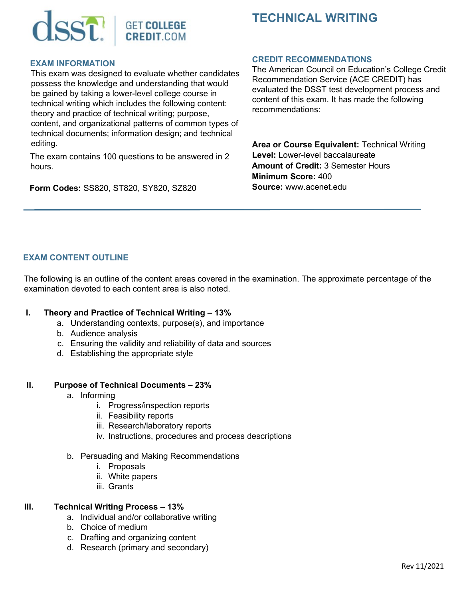

# **TECHNICAL WRITING**

## **EXAM INFORMATION**

This exam was designed to evaluate whether candidates possess the knowledge and understanding that would be gained by taking a lower-level college course in technical writing which includes the following content: theory and practice of technical writing; purpose, content, and organizational patterns of common types of technical documents; information design; and technical editing.

The exam contains 100 questions to be answered in 2 hours.

**Form Codes:** SS820, ST820, SY820, SZ820

## **CREDIT RECOMMENDATIONS**

The American Council on Education's College Credit Recommendation Service (ACE CREDIT) has evaluated the DSST test development process and content of this exam. It has made the following recommendations:

**Area or Course Equivalent:** Technical Writing **Level:** Lower-level baccalaureate **Amount of Credit:** 3 Semester Hours **Minimum Score:** 400 **Source:** www.acenet.edu

# **EXAM CONTENT OUTLINE**

The following is an outline of the content areas covered in the examination. The approximate percentage of the examination devoted to each content area is also noted.

## **I. Theory and Practice of Technical Writing – 13%**

- a. Understanding contexts, purpose(s), and importance
- b. Audience analysis
- c. Ensuring the validity and reliability of data and sources
- d. Establishing the appropriate style

## **II. Purpose of Technical Documents – 23%**

- a. Informing
	- i. Progress/inspection reports
	- ii. Feasibility reports
	- iii. Research/laboratory reports
	- iv. Instructions, procedures and process descriptions
- b. Persuading and Making Recommendations
	- i. Proposals
	- ii. White papers
	- iii. Grants

## **III. Technical Writing Process – 13%**

- a. Individual and/or collaborative writing
- b. Choice of medium
- c. Drafting and organizing content
- d. Research (primary and secondary)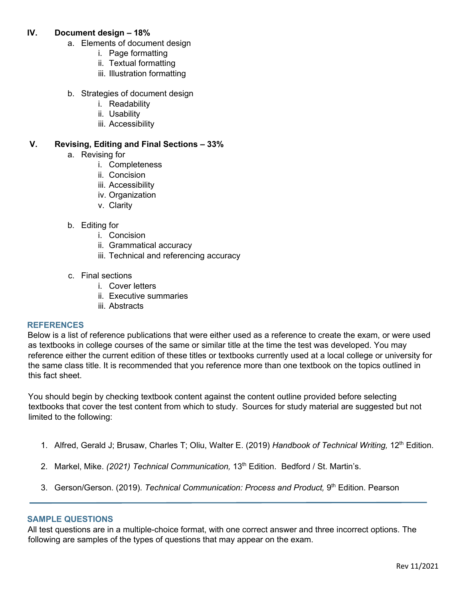# **IV. Document design – 18%**

- a. Elements of document design
	- i. Page formatting
	- ii. Textual formatting
	- iii. Illustration formatting
- b. Strategies of document design
	- i. Readability
	- ii. Usability
	- iii. Accessibility

# **V. Revising, Editing and Final Sections – 33%**

- a. Revising for
	- i. Completeness
	- ii. Concision
	- iii. Accessibility
	- iv. Organization
	- v. Clarity
- b. Editing for
	- i. Concision
	- ii. Grammatical accuracy
	- iii. Technical and referencing accuracy
- c. Final sections
	- i. Cover letters
	- ii. Executive summaries
	- iii. Abstracts

#### **REFERENCES**

Below is a list of reference publications that were either used as a reference to create the exam, or were used as textbooks in college courses of the same or similar title at the time the test was developed. You may reference either the current edition of these titles or textbooks currently used at a local college or university for the same class title. It is recommended that you reference more than one textbook on the topics outlined in this fact sheet.

You should begin by checking textbook content against the content outline provided before selecting textbooks that cover the test content from which to study. Sources for study material are suggested but not limited to the following:

- 1. Alfred, Gerald J; Brusaw, Charles T; Oliu, Walter E. (2019) *Handbook of Technical Writing,* 12th Edition.
- 2. Markel, Mike. (2021) Technical Communication, 13<sup>th</sup> Edition. Bedford / St. Martin's.
- 3. Gerson/Gerson. (2019). *Technical Communication: Process and Product,* 9th Edition. Pearson

#### **SAMPLE QUESTIONS**

All test questions are in a multiple-choice format, with one correct answer and three incorrect options. The following are samples of the types of questions that may appear on the exam.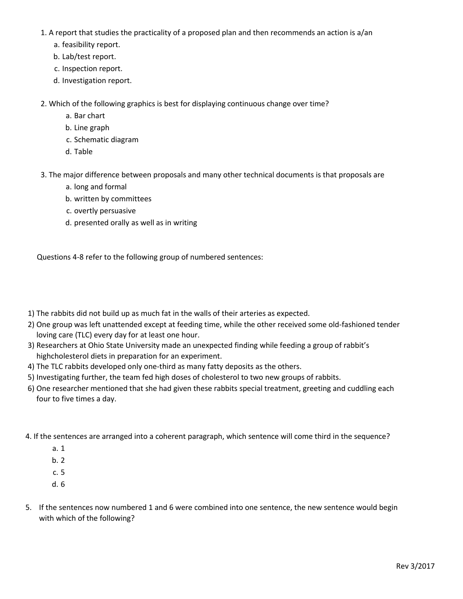- 1. A report that studies the practicality of a proposed plan and then recommends an action is a/an
	- a. feasibility report.
	- b. Lab/test report.
	- c. Inspection report.
	- d. Investigation report.

2. Which of the following graphics is best for displaying continuous change over time?

- a. Bar chart
- b. Line graph
- c. Schematic diagram
- d. Table
- 3. The major difference between proposals and many other technical documents is that proposals are
	- a. long and formal
	- b. written by committees
	- c. overtly persuasive
	- d. presented orally as well as in writing

Questions 4-8 refer to the following group of numbered sentences:

- 1) The rabbits did not build up as much fat in the walls of their arteries as expected.
- 2) One group was left unattended except at feeding time, while the other received some old-fashioned tender loving care (TLC) every day for at least one hour.
- 3) Researchers at Ohio State University made an unexpected finding while feeding a group of rabbit's highcholesterol diets in preparation for an experiment.
- 4) The TLC rabbits developed only one-third as many fatty deposits as the others.
- 5) Investigating further, the team fed high doses of cholesterol to two new groups of rabbits.
- 6) One researcher mentioned that she had given these rabbits special treatment, greeting and cuddling each four to five times a day.
- 4. If the sentences are arranged into a coherent paragraph, which sentence will come third in the sequence?
	- a. 1
	- b. 2
	- c. 5
	- d. 6
- 5. If the sentences now numbered 1 and 6 were combined into one sentence, the new sentence would begin with which of the following?